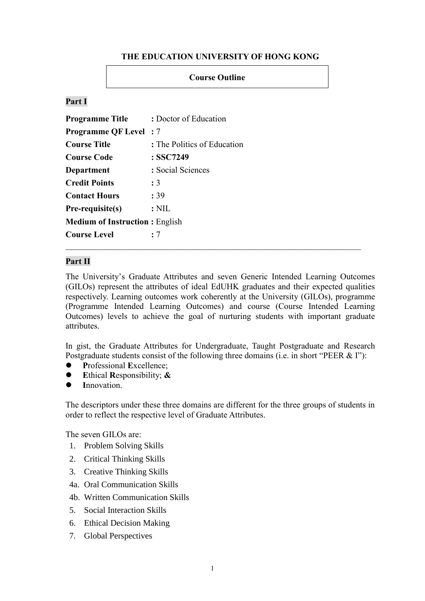### **THE EDUCATION UNIVERSITY OF HONG KONG**

### **Course Outline**

## **Part I**

| <b>Programme Title</b>                | : Doctor of Education       |
|---------------------------------------|-----------------------------|
| <b>Programme QF Level</b> : 7         |                             |
| <b>Course Title</b>                   | : The Politics of Education |
| <b>Course Code</b>                    | : SSC7249                   |
| Department                            | : Social Sciences           |
| <b>Credit Points</b>                  | : 3                         |
| <b>Contact Hours</b>                  | : 39                        |
| Pre-requisite(s)                      | $:\mathrm{NIL}$             |
| <b>Medium of Instruction: English</b> |                             |
| <b>Course Level</b>                   | : 7                         |

### **Part II**

The University's Graduate Attributes and seven Generic Intended Learning Outcomes (GILOs) represent the attributes of ideal EdUHK graduates and their expected qualities respectively. Learning outcomes work coherently at the University (GILOs), programme (Programme Intended Learning Outcomes) and course (Course Intended Learning Outcomes) levels to achieve the goal of nurturing students with important graduate attributes.

In gist, the Graduate Attributes for Undergraduate, Taught Postgraduate and Research Postgraduate students consist of the following three domains (i.e. in short "PEER & I"):

- **P**rofessional **E**xcellence;
- **E**thical **R**esponsibility; **&**
- **I**nnovation.

The descriptors under these three domains are different for the three groups of students in order to reflect the respective level of Graduate Attributes.

The seven GILOs are:

- 1. Problem Solving Skills
- 2. Critical Thinking Skills
- 3. Creative Thinking Skills
- 4a. Oral Communication Skills
- 4b. Written Communication Skills
- 5. Social Interaction Skills
- 6. Ethical Decision Making
- 7. Global Perspectives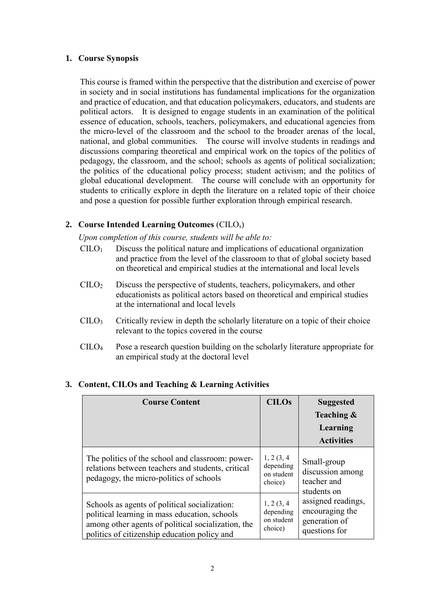### **1. Course Synopsis**

This course is framed within the perspective that the distribution and exercise of power in society and in social institutions has fundamental implications for the organization and practice of education, and that education policymakers, educators, and students are political actors. It is designed to engage students in an examination of the political essence of education, schools, teachers, policymakers, and educational agencies from the micro-level of the classroom and the school to the broader arenas of the local, national, and global communities. The course will involve students in readings and discussions comparing theoretical and empirical work on the topics of the politics of pedagogy, the classroom, and the school; schools as agents of political socialization; the politics of the educational policy process; student activism; and the politics of global educational development. The course will conclude with an opportunity for students to critically explore in depth the literature on a related topic of their choice and pose a question for possible further exploration through empirical research.

# **2. Course Intended Learning Outcomes** (CILOs)

*Upon completion of this course, students will be able to:*

- $CILO<sub>1</sub>$  Discuss the political nature and implications of educational organization and practice from the level of the classroom to that of global society based on theoretical and empirical studies at the international and local levels
- CILO<sup>2</sup> Discuss the perspective of students, teachers, policymakers, and other educationists as political actors based on theoretical and empirical studies at the international and local levels
- $\text{CHO}_3$  Critically review in depth the scholarly literature on a topic of their choice relevant to the topics covered in the course
- CILO<sup>4</sup> Pose a research question building on the scholarly literature appropriate for an empirical study at the doctoral level

| <b>Course Content</b>                                                                                                                                                                                | <b>CILOs</b>                                     | <b>Suggested</b><br>Teaching &<br>Learning<br><b>Activities</b>                                                                          |
|------------------------------------------------------------------------------------------------------------------------------------------------------------------------------------------------------|--------------------------------------------------|------------------------------------------------------------------------------------------------------------------------------------------|
| The politics of the school and classroom: power-<br>relations between teachers and students, critical<br>pedagogy, the micro-politics of schools                                                     | 1, 2(3, 4)<br>depending<br>on student<br>choice) | Small-group<br>discussion among<br>teacher and<br>students on<br>assigned readings,<br>encouraging the<br>generation of<br>questions for |
| Schools as agents of political socialization:<br>political learning in mass education, schools<br>among other agents of political socialization, the<br>politics of citizenship education policy and | 1, 2(3, 4)<br>depending<br>on student<br>choice) |                                                                                                                                          |

### **3. Content, CILOs and Teaching & Learning Activities**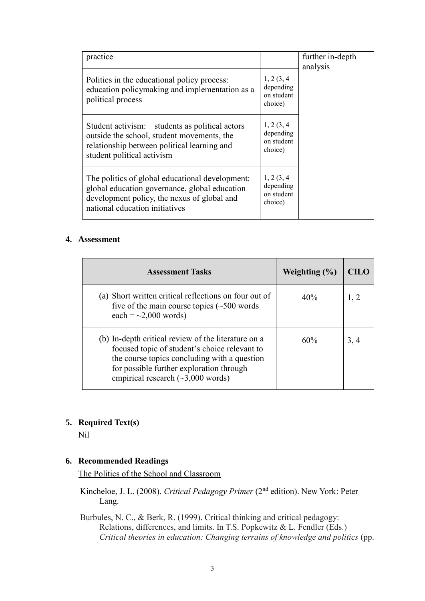| practice                                                                                                                                                                          |                                                  | further in-depth<br>analysis |
|-----------------------------------------------------------------------------------------------------------------------------------------------------------------------------------|--------------------------------------------------|------------------------------|
| Politics in the educational policy process:<br>education policymaking and implementation as a<br>political process                                                                | 1, 2(3, 4)<br>depending<br>on student<br>choice) |                              |
| Student activism: students as political actors<br>outside the school, student movements, the<br>relationship between political learning and<br>student political activism         | 1, 2(3, 4)<br>depending<br>on student<br>choice) |                              |
| The politics of global educational development:<br>global education governance, global education<br>development policy, the nexus of global and<br>national education initiatives | 1, 2(3, 4)<br>depending<br>on student<br>choice) |                              |

### **4. Assessment**

| <b>Assessment Tasks</b>                                                                                                                                                                                                                     | Weighting $(\% )$ | CH JO |
|---------------------------------------------------------------------------------------------------------------------------------------------------------------------------------------------------------------------------------------------|-------------------|-------|
| (a) Short written critical reflections on four out of<br>five of the main course topics $(\sim 500$ words<br>each = $\sim$ 2,000 words)                                                                                                     | 40%               | 1, 2  |
| (b) In-depth critical review of the literature on a<br>focused topic of student's choice relevant to<br>the course topics concluding with a question<br>for possible further exploration through<br>empirical research $(\sim 3,000$ words) | 60%               | 3, 4  |

# **5. Required Text(s)**

Nil

### **6. Recommended Readings**

The Politics of the School and Classroom

Kincheloe, J. L. (2008). *Critical Pedagogy Primer* (2nd edition). New York: Peter Lang.

Burbules, N. C., & Berk, R. (1999). Critical thinking and critical pedagogy: Relations, differences, and limits. In T.S. Popkewitz & L. Fendler (Eds.) *Critical theories in education: Changing terrains of knowledge and politics* (pp.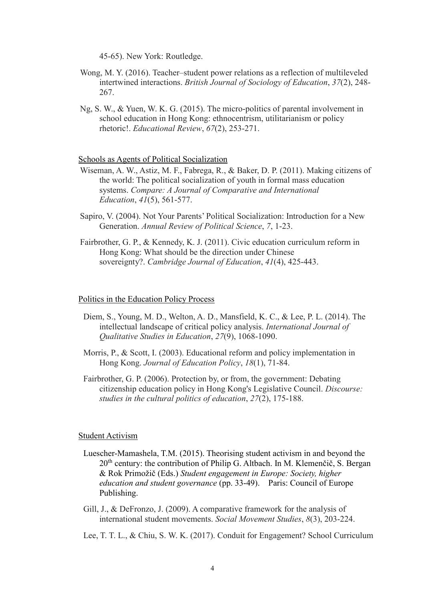45-65). New York: Routledge.

- Wong, M. Y. (2016). Teacher–student power relations as a reflection of multileveled intertwined interactions. *British Journal of Sociology of Education*, *37*(2), 248- 267.
- Ng, S. W., & Yuen, W. K. G. (2015). The micro-politics of parental involvement in school education in Hong Kong: ethnocentrism, utilitarianism or policy rhetoric!. *Educational Review*, *67*(2), 253-271.

#### Schools as Agents of Political Socialization

- Wiseman, A. W., Astiz, M. F., Fabrega, R., & Baker, D. P. (2011). Making citizens of the world: The political socialization of youth in formal mass education systems. *Compare: A Journal of Comparative and International Education*, *41*(5), 561-577.
- Sapiro, V. (2004). Not Your Parents' Political Socialization: Introduction for a New Generation. *Annual Review of Political Science*, *7*, 1-23.
- Fairbrother, G. P., & Kennedy, K. J. (2011). Civic education curriculum reform in Hong Kong: What should be the direction under Chinese sovereignty?. *Cambridge Journal of Education*, *41*(4), 425-443.

#### Politics in the Education Policy Process

- Diem, S., Young, M. D., Welton, A. D., Mansfield, K. C., & Lee, P. L. (2014). The intellectual landscape of critical policy analysis. *International Journal of Qualitative Studies in Education*, *27*(9), 1068-1090.
- Morris, P., & Scott, I. (2003). Educational reform and policy implementation in Hong Kong. *Journal of Education Policy*, *18*(1), 71-84.
- Fairbrother, G. P. (2006). Protection by, or from, the government: Debating citizenship education policy in Hong Kong's Legislative Council. *Discourse: studies in the cultural politics of education*, *27*(2), 175-188.

#### Student Activism

- Luescher-Mamashela, T.M. (2015). Theorising student activism in and beyond the  $20<sup>th</sup>$  century: the contribution of Philip G. Altbach. In M. Klemenčič, S. Bergan & Rok Primožič (Eds.) *Student engagement in Europe: Society, higher education and student governance* (pp. 33-49). Paris: Council of Europe Publishing.
- Gill, J., & DeFronzo, J. (2009). A comparative framework for the analysis of international student movements. *Social Movement Studies*, *8*(3), 203-224.
- Lee, T. T. L., & Chiu, S. W. K. (2017). Conduit for Engagement? School Curriculum